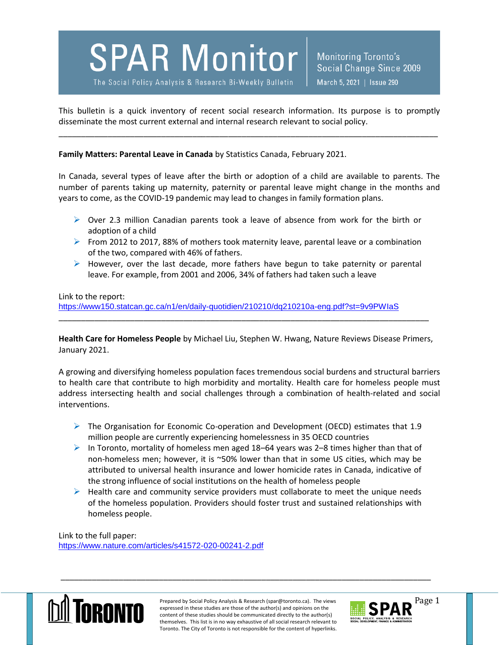## **SPAR Monitor**

The Social Policy Analysis & Research Bi-Weekly Bulletin

**Monitoring Toronto's** Social Change Since 2009 March 5, 2021 | Issue 290

This bulletin is a quick inventory of recent social research information. Its purpose is to promptly disseminate the most current external and internal research relevant to social policy.

\_\_\_\_\_\_\_\_\_\_\_\_\_\_\_\_\_\_\_\_\_\_\_\_\_\_\_\_\_\_\_\_\_\_\_\_\_\_\_\_\_\_\_\_\_\_\_\_\_\_\_\_\_\_\_\_\_\_\_\_\_\_\_\_\_\_\_\_\_\_\_\_\_\_\_\_\_\_\_\_\_\_\_\_\_

**Family Matters: Parental Leave in Canada** by Statistics Canada, February 2021.

In Canada, several types of leave after the birth or adoption of a child are available to parents. The number of parents taking up maternity, paternity or parental leave might change in the months and years to come, as the COVID-19 pandemic may lead to changes in family formation plans.

- $\triangleright$  Over 2.3 million Canadian parents took a leave of absence from work for the birth or adoption of a child
- From 2012 to 2017, 88% of mothers took maternity leave, parental leave or a combination of the two, compared with 46% of fathers.
- $\triangleright$  However, over the last decade, more fathers have begun to take paternity or parental leave. For example, from 2001 and 2006, 34% of fathers had taken such a leave

Link to the report: <https://www150.statcan.gc.ca/n1/en/daily-quotidien/210210/dq210210a-eng.pdf?st=9v9PWIaS> \_\_\_\_\_\_\_\_\_\_\_\_\_\_\_\_\_\_\_\_\_\_\_\_\_\_\_\_\_\_\_\_\_\_\_\_\_\_\_\_\_\_\_\_\_\_\_\_\_\_\_\_\_\_\_\_\_\_\_\_\_\_\_\_\_\_\_\_\_\_\_\_\_\_\_\_\_\_\_\_\_\_\_

**Health Care for Homeless People** by Michael Liu, Stephen W. Hwang, Nature Reviews Disease Primers, January 2021.

A growing and diversifying homeless population faces tremendous social burdens and structural barriers to health care that contribute to high morbidity and mortality. Health care for homeless people must address intersecting health and social challenges through a combination of health-related and social interventions.

- $\triangleright$  The Organisation for Economic Co-operation and Development (OECD) estimates that 1.9 million people are currently experiencing homelessness in 35 OECD countries
- In Toronto, mortality of homeless men aged 18–64 years was 2–8 times higher than that of non-homeless men; however, it is ~50% lower than that in some US cities, which may be attributed to universal health insurance and lower homicide rates in Canada, indicative of the strong influence of social institutions on the health of homeless people
- $\triangleright$  Health care and community service providers must collaborate to meet the unique needs of the homeless population. Providers should foster trust and sustained relationships with homeless people.

Link to the full paper: <https://www.nature.com/articles/s41572-020-00241-2.pdf>



Prepared by Social Policy Analysis & Research (spar@toronto.ca). The views Page 1 expressed in these studies are those of the author(s) and opinions on the content of these studies should be communicated directly to the author(s) themselves. This list is in no way exhaustive of all social research relevant to Toronto. The City of Toronto is not responsible for the content of hyperlinks.

\_\_\_\_\_\_\_\_\_\_\_\_\_\_\_\_\_\_\_\_\_\_\_\_\_\_\_\_\_\_\_\_\_\_\_\_\_\_\_\_\_\_\_\_\_\_\_\_\_\_\_\_\_\_\_\_\_\_\_\_\_\_\_\_\_\_\_\_\_\_\_\_\_\_\_\_\_\_\_\_\_\_\_

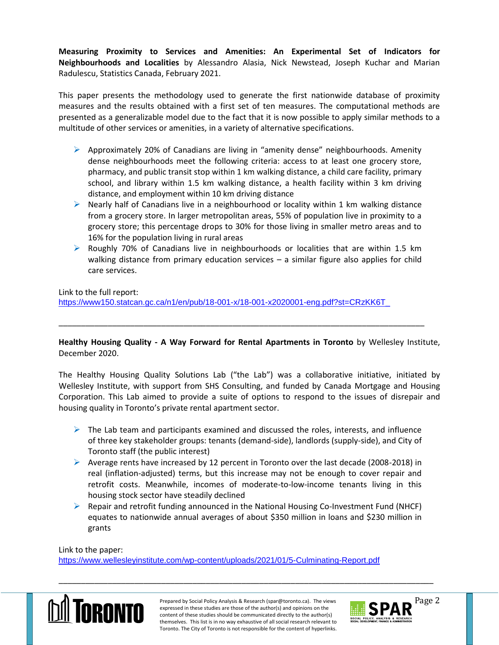**Measuring Proximity to Services and Amenities: An Experimental Set of Indicators for Neighbourhoods and Localities** by Alessandro Alasia, Nick Newstead, Joseph Kuchar and Marian Radulescu, Statistics Canada, February 2021.

This paper presents the methodology used to generate the first nationwide database of proximity measures and the results obtained with a first set of ten measures. The computational methods are presented as a generalizable model due to the fact that it is now possible to apply similar methods to a multitude of other services or amenities, in a variety of alternative specifications.

- $\triangleright$  Approximately 20% of Canadians are living in "amenity dense" neighbourhoods. Amenity dense neighbourhoods meet the following criteria: access to at least one grocery store, pharmacy, and public transit stop within 1 km walking distance, a child care facility, primary school, and library within 1.5 km walking distance, a health facility within 3 km driving distance, and employment within 10 km driving distance
- $\triangleright$  Nearly half of Canadians live in a neighbourhood or locality within 1 km walking distance from a grocery store. In larger metropolitan areas, 55% of population live in proximity to a grocery store; this percentage drops to 30% for those living in smaller metro areas and to 16% for the population living in rural areas
- $\triangleright$  Roughly 70% of Canadians live in neighbourhoods or localities that are within 1.5 km walking distance from primary education services – a similar figure also applies for child care services.

Link to the full report:

[https://www150.statcan.gc.ca/n1/en/pub/18-001-x/18-001-x2020001-eng.pdf?st=CRzKK6T\\_](https://www150.statcan.gc.ca/n1/en/pub/18-001-x/18-001-x2020001-eng.pdf?st=CRzKK6T_)

**Healthy Housing Quality - A Way Forward for Rental Apartments in Toronto** by Wellesley Institute, December 2020.

\_\_\_\_\_\_\_\_\_\_\_\_\_\_\_\_\_\_\_\_\_\_\_\_\_\_\_\_\_\_\_\_\_\_\_\_\_\_\_\_\_\_\_\_\_\_\_\_\_\_\_\_\_\_\_\_\_\_\_\_\_\_\_\_\_\_\_\_\_\_\_\_\_\_\_\_\_\_\_\_\_\_

The Healthy Housing Quality Solutions Lab ("the Lab") was a collaborative initiative, initiated by Wellesley Institute, with support from SHS Consulting, and funded by Canada Mortgage and Housing Corporation. This Lab aimed to provide a suite of options to respond to the issues of disrepair and housing quality in Toronto's private rental apartment sector.

- $\triangleright$  The Lab team and participants examined and discussed the roles, interests, and influence of three key stakeholder groups: tenants (demand-side), landlords (supply-side), and City of Toronto staff (the public interest)
- Average rents have increased by 12 percent in Toronto over the last decade (2008-2018) in real (inflation-adjusted) terms, but this increase may not be enough to cover repair and retrofit costs. Meanwhile, incomes of moderate-to-low-income tenants living in this housing stock sector have steadily declined
- $\triangleright$  Repair and retrofit funding announced in the National Housing Co-Investment Fund (NHCF) equates to nationwide annual averages of about \$350 million in loans and \$230 million in grants

Link to the paper:

<https://www.wellesleyinstitute.com/wp-content/uploads/2021/01/5-Culminating-Report.pdf>



Prepared by Social Policy Analysis & Research (spar@toronto.ca). The views Page 2 expressed in these studies are those of the author(s) and opinions on the content of these studies should be communicated directly to the author(s) themselves. This list is in no way exhaustive of all social research relevant to Toronto. The City of Toronto is not responsible for the content of hyperlinks.

\_\_\_\_\_\_\_\_\_\_\_\_\_\_\_\_\_\_\_\_\_\_\_\_\_\_\_\_\_\_\_\_\_\_\_\_\_\_\_\_\_\_\_\_\_\_\_\_\_\_\_\_\_\_\_\_\_\_\_\_\_\_\_\_\_\_\_\_\_\_\_\_\_\_\_\_\_\_\_\_\_\_\_\_